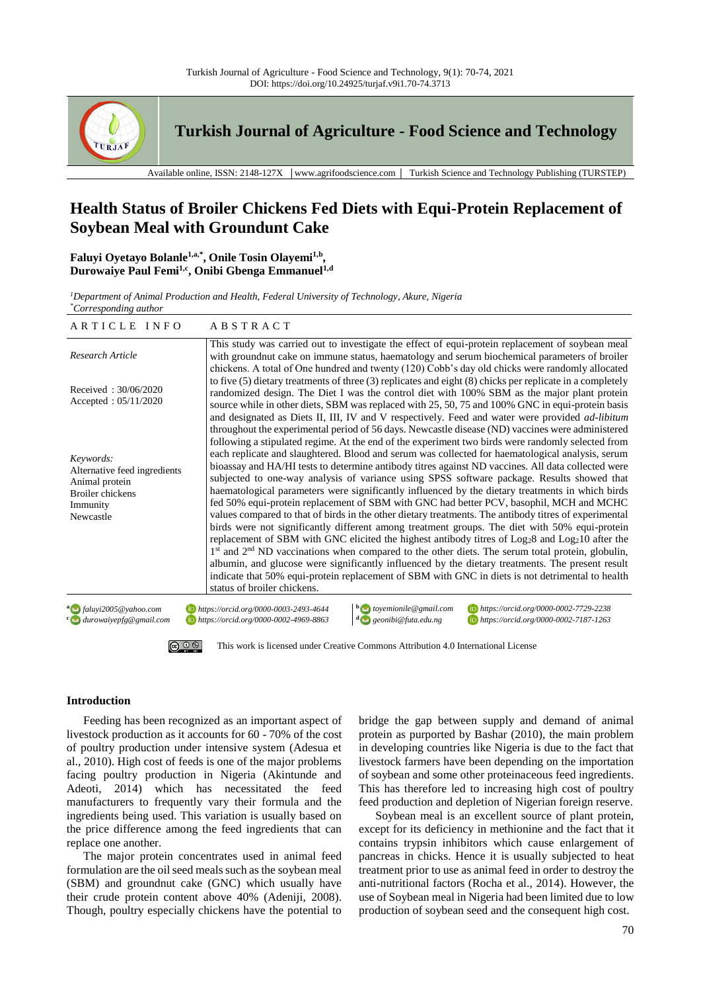

**Turkish Journal of Agriculture - Food Science and Technology**

Available online, ISSN: 2148-127X │www.agrifoodscience.com │ Turkish Science and Technology Publishing (TURSTEP)

# **Health Status of Broiler Chickens Fed Diets with Equi-Protein Replacement of Soybean Meal with Groundunt Cake**

**Faluyi Oyetayo Bolanle1,a,\* , Onile Tosin Olayemi1,b , Durowaiye Paul Femi1,c , Onibi Gbenga Emmanuel1,d**

*<sup>1</sup>Department of Animal Production and Health, Federal University of Technology, Akure, Nigeria \*Corresponding author*

| ARTICLE INFO                                                                                                    | <b>ABSTRACT</b>                                                                                                                                                                                                                                                                                                                                                                                                                                                                                                                                                                                                                                                                                                                                                                                                                                                                                                                                                                                                                                                                                                                                                                                                                                                                                                                                                                                   |  |  |  |  |
|-----------------------------------------------------------------------------------------------------------------|---------------------------------------------------------------------------------------------------------------------------------------------------------------------------------------------------------------------------------------------------------------------------------------------------------------------------------------------------------------------------------------------------------------------------------------------------------------------------------------------------------------------------------------------------------------------------------------------------------------------------------------------------------------------------------------------------------------------------------------------------------------------------------------------------------------------------------------------------------------------------------------------------------------------------------------------------------------------------------------------------------------------------------------------------------------------------------------------------------------------------------------------------------------------------------------------------------------------------------------------------------------------------------------------------------------------------------------------------------------------------------------------------|--|--|--|--|
| Research Article                                                                                                | This study was carried out to investigate the effect of equi-protein replacement of soybean meal<br>with groundnut cake on immune status, haematology and serum biochemical parameters of broiler<br>chickens. A total of One hundred and twenty (120) Cobb's day old chicks were randomly allocated                                                                                                                                                                                                                                                                                                                                                                                                                                                                                                                                                                                                                                                                                                                                                                                                                                                                                                                                                                                                                                                                                              |  |  |  |  |
| Received: 30/06/2020<br>Accepted: $05/11/2020$                                                                  | to five $(5)$ dietary treatments of three $(3)$ replicates and eight $(8)$ chicks per replicate in a completely<br>randomized design. The Diet I was the control diet with 100% SBM as the major plant protein<br>source while in other diets, SBM was replaced with 25, 50, 75 and 100% GNC in equi-protein basis<br>and designated as Diets II, III, IV and V respectively. Feed and water were provided <i>ad-libitum</i>                                                                                                                                                                                                                                                                                                                                                                                                                                                                                                                                                                                                                                                                                                                                                                                                                                                                                                                                                                      |  |  |  |  |
| Keywords:<br>Alternative feed ingredients<br>Animal protein<br><b>Broiler</b> chickens<br>Immunity<br>Newcastle | throughout the experimental period of 56 days. Newcastle disease (ND) vaccines were administered<br>following a stipulated regime. At the end of the experiment two birds were randomly selected from<br>each replicate and slaughtered. Blood and serum was collected for haematological analysis, serum<br>bioassay and HA/HI tests to determine antibody titres against ND vaccines. All data collected were<br>subjected to one-way analysis of variance using SPSS software package. Results showed that<br>haematological parameters were significantly influenced by the dietary treatments in which birds<br>fed 50% equi-protein replacement of SBM with GNC had better PCV, basophil, MCH and MCHC<br>values compared to that of birds in the other dietary treatments. The antibody titres of experimental<br>birds were not significantly different among treatment groups. The diet with 50% equi-protein<br>replacement of SBM with GNC elicited the highest antibody titres of Log <sub>2</sub> 8 and Log <sub>2</sub> 10 after the<br>$1st$ and $2nd$ ND vaccinations when compared to the other diets. The serum total protein, globulin,<br>albumin, and glucose were significantly influenced by the dietary treatments. The present result<br>indicate that 50% equi-protein replacement of SBM with GNC in diets is not detrimental to health<br>status of broiler chickens. |  |  |  |  |
| a faluyi2005@yahoo.com<br>com durowaiyepfg@gmail.com                                                            | $\mathbf{b}$ to yemionile @ gmail.com<br>https://orcid.org/0000-0002-7729-2238<br>https://orcid.org/0000-0003-2493-4644<br>$\bigcirc$ geonibi@futa.edu.ng<br>https://orcid.org/0000-0002-7187-1263<br>https://orcid.org/0000-0002-4969-8863                                                                                                                                                                                                                                                                                                                                                                                                                                                                                                                                                                                                                                                                                                                                                                                                                                                                                                                                                                                                                                                                                                                                                       |  |  |  |  |





[This work is licensed under Creative Commons Attribution 4.0 International License](http://creativecommons.org/licenses/by-nc/4.0/)

### **Introduction**

Feeding has been recognized as an important aspect of livestock production as it accounts for 60 - 70% of the cost of poultry production under intensive system (Adesua et al., 2010). High cost of feeds is one of the major problems facing poultry production in Nigeria (Akintunde and Adeoti, 2014) which has necessitated the feed manufacturers to frequently vary their formula and the ingredients being used. This variation is usually based on the price difference among the feed ingredients that can replace one another.

The major protein concentrates used in animal feed formulation are the oil seed meals such as the soybean meal (SBM) and groundnut cake (GNC) which usually have their crude protein content above 40% (Adeniji, 2008). Though, poultry especially chickens have the potential to

bridge the gap between supply and demand of animal protein as purported by Bashar (2010), the main problem in developing countries like Nigeria is due to the fact that livestock farmers have been depending on the importation of soybean and some other proteinaceous feed ingredients. This has therefore led to increasing high cost of poultry feed production and depletion of Nigerian foreign reserve.

Soybean meal is an excellent source of plant protein, except for its deficiency in methionine and the fact that it contains trypsin inhibitors which cause enlargement of pancreas in chicks. Hence it is usually subjected to heat treatment prior to use as animal feed in order to destroy the anti-nutritional factors (Rocha et al., 2014). However, the use of Soybean meal in Nigeria had been limited due to low production of soybean seed and the consequent high cost.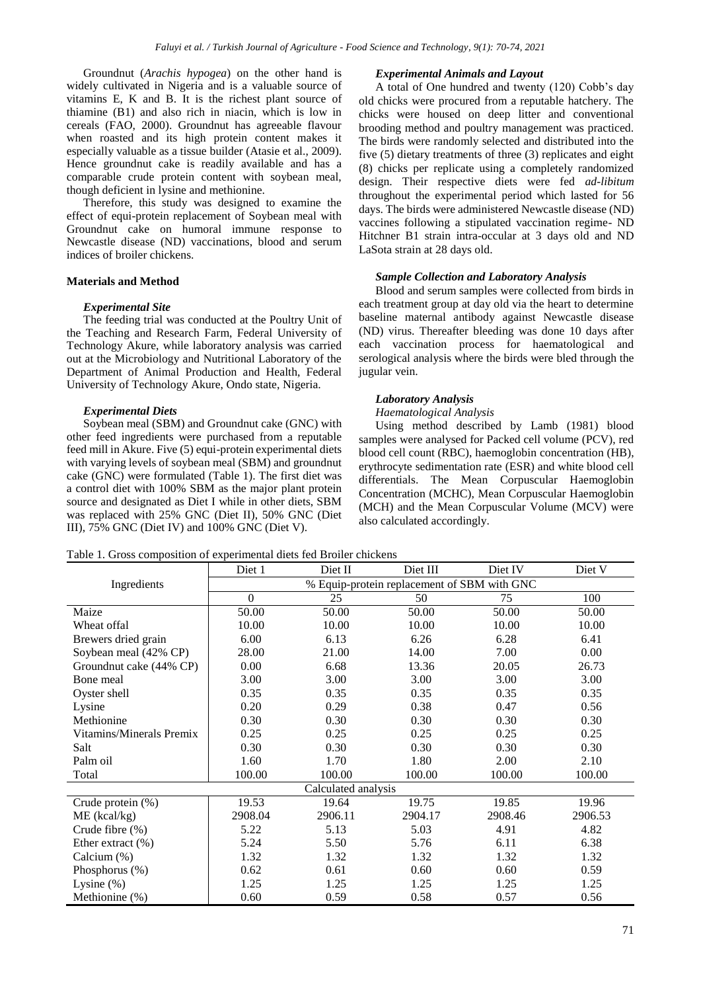Groundnut (*Arachis hypogea*) on the other hand is widely cultivated in Nigeria and is a valuable source of vitamins E, K and B. It is the richest plant source of thiamine (B1) and also rich in niacin, which is low in cereals (FAO, 2000). Groundnut has agreeable flavour when roasted and its high protein content makes it especially valuable as a tissue builder (Atasie et al., 2009). Hence groundnut cake is readily available and has a comparable crude protein content with soybean meal, though deficient in lysine and methionine.

Therefore, this study was designed to examine the effect of equi-protein replacement of Soybean meal with Groundnut cake on humoral immune response to Newcastle disease (ND) vaccinations, blood and serum indices of broiler chickens.

## **Materials and Method**

#### *Experimental Site*

The feeding trial was conducted at the Poultry Unit of the Teaching and Research Farm, Federal University of Technology Akure, while laboratory analysis was carried out at the Microbiology and Nutritional Laboratory of the Department of Animal Production and Health, Federal University of Technology Akure, Ondo state, Nigeria.

#### *Experimental Diets*

Soybean meal (SBM) and Groundnut cake (GNC) with other feed ingredients were purchased from a reputable feed mill in Akure. Five (5) equi-protein experimental diets with varying levels of soybean meal (SBM) and groundnut cake (GNC) were formulated (Table 1). The first diet was a control diet with 100% SBM as the major plant protein source and designated as Diet I while in other diets, SBM was replaced with 25% GNC (Diet II), 50% GNC (Diet III), 75% GNC (Diet IV) and 100% GNC (Diet V).

#### *Experimental Animals and Layout*

A total of One hundred and twenty (120) Cobb's day old chicks were procured from a reputable hatchery. The chicks were housed on deep litter and conventional brooding method and poultry management was practiced. The birds were randomly selected and distributed into the five (5) dietary treatments of three (3) replicates and eight (8) chicks per replicate using a completely randomized design. Their respective diets were fed *ad-libitum* throughout the experimental period which lasted for 56 days. The birds were administered Newcastle disease (ND) vaccines following a stipulated vaccination regime- ND Hitchner B1 strain intra-occular at 3 days old and ND LaSota strain at 28 days old.

### *Sample Collection and Laboratory Analysis*

Blood and serum samples were collected from birds in each treatment group at day old via the heart to determine baseline maternal antibody against Newcastle disease (ND) virus. Thereafter bleeding was done 10 days after each vaccination process for haematological and serological analysis where the birds were bled through the jugular vein.

#### *Laboratory Analysis*

#### *Haematological Analysis*

Using method described by Lamb (1981) blood samples were analysed for Packed cell volume (PCV), red blood cell count (RBC), haemoglobin concentration (HB), erythrocyte sedimentation rate (ESR) and white blood cell differentials. The Mean Corpuscular Haemoglobin Concentration (MCHC), Mean Corpuscular Haemoglobin (MCH) and the Mean Corpuscular Volume (MCV) were also calculated accordingly.

Table 1. Gross composition of experimental diets fed Broiler chickens

|                          | Diet 1                                      | Diet II | Diet III | Diet IV | Diet V  |  |
|--------------------------|---------------------------------------------|---------|----------|---------|---------|--|
| Ingredients              | % Equip-protein replacement of SBM with GNC |         |          |         |         |  |
|                          | $\mathbf{0}$                                | 25      | 50       | 75      | 100     |  |
| Maize                    | 50.00                                       | 50.00   | 50.00    | 50.00   | 50.00   |  |
| Wheat offal              | 10.00                                       | 10.00   | 10.00    | 10.00   | 10.00   |  |
| Brewers dried grain      | 6.00                                        | 6.13    | 6.26     | 6.28    | 6.41    |  |
| Soybean meal (42% CP)    | 28.00                                       | 21.00   | 14.00    | 7.00    | 0.00    |  |
| Groundnut cake (44% CP)  | 0.00                                        | 6.68    | 13.36    | 20.05   | 26.73   |  |
| Bone meal                | 3.00                                        | 3.00    | 3.00     | 3.00    | 3.00    |  |
| Oyster shell             | 0.35                                        | 0.35    | 0.35     | 0.35    | 0.35    |  |
| Lysine                   | 0.20                                        | 0.29    | 0.38     | 0.47    | 0.56    |  |
| Methionine               | 0.30                                        | 0.30    | 0.30     | 0.30    | 0.30    |  |
| Vitamins/Minerals Premix | 0.25                                        | 0.25    | 0.25     | 0.25    | 0.25    |  |
| Salt                     | 0.30                                        | 0.30    | 0.30     | 0.30    | 0.30    |  |
| Palm oil                 | 1.60                                        | 1.70    | 1.80     | 2.00    | 2.10    |  |
| Total                    | 100.00                                      | 100.00  | 100.00   | 100.00  | 100.00  |  |
| Calculated analysis      |                                             |         |          |         |         |  |
| Crude protein (%)        | 19.53                                       | 19.64   | 19.75    | 19.85   | 19.96   |  |
| $ME$ (kcal/kg)           | 2908.04                                     | 2906.11 | 2904.17  | 2908.46 | 2906.53 |  |
| Crude fibre $(\%)$       | 5.22                                        | 5.13    | 5.03     | 4.91    | 4.82    |  |
| Ether extract $(\% )$    | 5.24                                        | 5.50    | 5.76     | 6.11    | 6.38    |  |
| Calcium (%)              | 1.32                                        | 1.32    | 1.32     | 1.32    | 1.32    |  |
| Phosphorus (%)           | 0.62                                        | 0.61    | 0.60     | 0.60    | 0.59    |  |
| Lysine $(\%)$            | 1.25                                        | 1.25    | 1.25     | 1.25    | 1.25    |  |
| Methionine (%)           | 0.60                                        | 0.59    | 0.58     | 0.57    | 0.56    |  |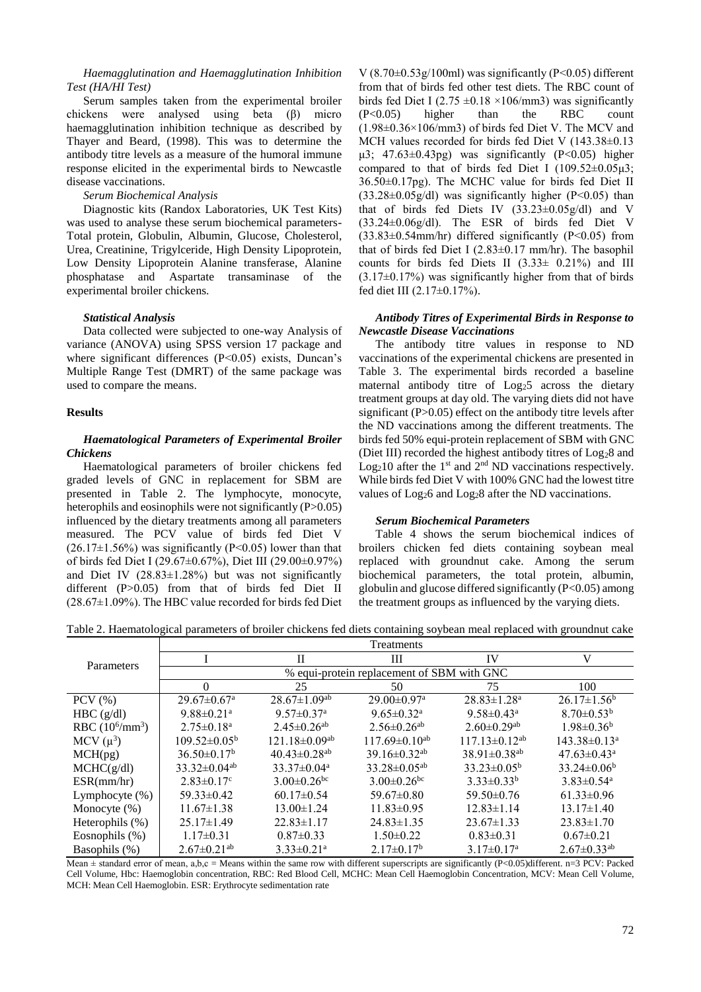## *Haemagglutination and Haemagglutination Inhibition Test (HA/HI Test)*

Serum samples taken from the experimental broiler chickens were analysed using beta (β) micro haemagglutination inhibition technique as described by Thayer and Beard, (1998). This was to determine the antibody titre levels as a measure of the humoral immune response elicited in the experimental birds to Newcastle disease vaccinations.

## *Serum Biochemical Analysis*

Diagnostic kits (Randox Laboratories, UK Test Kits) was used to analyse these serum biochemical parameters-Total protein, Globulin, Albumin, Glucose, Cholesterol, Urea, Creatinine, Trigylceride, High Density Lipoprotein, Low Density Lipoprotein Alanine transferase, Alanine phosphatase and Aspartate transaminase of the experimental broiler chickens.

## *Statistical Analysis*

Data collected were subjected to one-way Analysis of variance (ANOVA) using SPSS version 17 package and where significant differences  $(P<0.05)$  exists, Duncan's Multiple Range Test (DMRT) of the same package was used to compare the means.

## **Results**

## *Haematological Parameters of Experimental Broiler Chickens*

Haematological parameters of broiler chickens fed graded levels of GNC in replacement for SBM are presented in Table 2. The lymphocyte, monocyte, heterophils and eosinophils were not significantly (P>0.05) influenced by the dietary treatments among all parameters measured. The PCV value of birds fed Diet V  $(26.17\pm1.56\%)$  was significantly (P<0.05) lower than that of birds fed Diet I (29.67±0.67%), Diet III (29.00±0.97%) and Diet IV  $(28.83 \pm 1.28\%)$  but was not significantly different (P>0.05) from that of birds fed Diet II  $(28.67\pm1.09\%)$ . The HBC value recorded for birds fed Diet V  $(8.70\pm0.53g/100ml)$  was significantly  $(P<0.05)$  different from that of birds fed other test diets. The RBC count of birds fed Diet I (2.75  $\pm$ 0.18 ×106/mm3) was significantly (P<0.05) higher than the RBC count  $(1.98\pm0.36\times106/\text{mm}^3)$  of birds fed Diet V. The MCV and MCH values recorded for birds fed Diet V (143.38 $\pm$ 0.13 μ3;  $47.63 \pm 0.43$ pg) was significantly (P<0.05) higher compared to that of birds fed Diet I  $(109.52\pm0.05\mu3)$ ; 36.50±0.17pg). The MCHC value for birds fed Diet II  $(33.28\pm0.05g/dl)$  was significantly higher (P<0.05) than that of birds fed Diets IV (33.23±0.05g/dl) and V (33.24±0.06g/dl). The ESR of birds fed Diet V  $(33.83\pm0.54$ mm/hr) differed significantly (P<0.05) from that of birds fed Diet I (2.83±0.17 mm/hr). The basophil counts for birds fed Diets II (3.33± 0.21%) and III  $(3.17\pm0.17%)$  was significantly higher from that of birds fed diet III (2.17±0.17%).

## *Antibody Titres of Experimental Birds in Response to Newcastle Disease Vaccinations*

The antibody titre values in response to ND vaccinations of the experimental chickens are presented in Table 3. The experimental birds recorded a baseline maternal antibody titre of Log<sub>2</sub>5 across the dietary treatment groups at day old. The varying diets did not have significant (P>0.05) effect on the antibody titre levels after the ND vaccinations among the different treatments. The birds fed 50% equi-protein replacement of SBM with GNC (Diet III) recorded the highest antibody titres of Log28 and  $Log<sub>2</sub>10$  after the 1<sup>st</sup> and 2<sup>nd</sup> ND vaccinations respectively. While birds fed Diet V with 100% GNC had the lowest titre values of Log<sub>2</sub>6 and Log<sub>2</sub>8 after the ND vaccinations.

### *Serum Biochemical Parameters*

Table 4 shows the serum biochemical indices of broilers chicken fed diets containing soybean meal replaced with groundnut cake. Among the serum biochemical parameters, the total protein, albumin, globulin and glucose differed significantly (P<0.05) among the treatment groups as influenced by the varying diets.

Table 2. Haematological parameters of broiler chickens fed diets containing soybean meal replaced with groundnut cake

|                          |                                            |                                 | Treatments                     |                               |                               |  |
|--------------------------|--------------------------------------------|---------------------------------|--------------------------------|-------------------------------|-------------------------------|--|
| Parameters               |                                            | $\rm II$                        | Ш                              | IV                            | V                             |  |
|                          | % equi-protein replacement of SBM with GNC |                                 |                                |                               |                               |  |
|                          | $\Omega$                                   | 25                              | 50                             | 75                            | 100                           |  |
| $PCV$ $(\% )$            | $29.67 \pm 0.67$ <sup>a</sup>              | $28.67 \pm 1.09$ <sup>ab</sup>  | $29.00 \pm 0.97$ <sup>a</sup>  | $28.83 \pm 1.28$ <sup>a</sup> | $26.17 \pm 1.56^b$            |  |
| HBC(g/dl)                | $9.88 \pm 0.21$ <sup>a</sup>               | $9.57 \pm 0.37$ <sup>a</sup>    | $9.65 \pm 0.32$ <sup>a</sup>   | $9.58 \pm 0.43$ <sup>a</sup>  | $8.70 \pm 0.53^b$             |  |
| RBC $(10^6/\text{mm}^3)$ | $2.75 \pm 0.18$ <sup>a</sup>               | $2.45 \pm 0.26$ <sup>ab</sup>   | $2.56 \pm 0.26$ <sup>ab</sup>  | $2.60 \pm 0.29$ <sup>ab</sup> | $1.98 \pm 0.36^b$             |  |
| MCV $(\mu^3)$            | $109.52 \pm 0.05^{\circ}$                  | $121.18 \pm 0.09$ <sup>ab</sup> | $117.69 \pm 0.10^{ab}$         | $117.13\pm0.12^{ab}$          | $143.38 \pm 0.13^a$           |  |
| MCH(pg)                  | $36.50 \pm 0.17^b$                         | $40.43 \pm 0.28$ <sup>ab</sup>  | $39.16 \pm 0.32$ <sup>ab</sup> | 38.91±0.38 <sup>ab</sup>      | $47.63 \pm 0.43$ <sup>a</sup> |  |
| MCHC(g/dl)               | $33.32 \pm 0.04$ <sup>ab</sup>             | $33.37 \pm 0.04^{\text{a}}$     | $33.28 \pm 0.05^{ab}$          | $33.23 \pm 0.05^{\rm b}$      | $33.24 \pm 0.06^b$            |  |
| ESR(mm/hr)               | $2.83 \pm 0.17$ <sup>c</sup>               | $3.00 \pm 0.26$ <sup>bc</sup>   | $3.00 \pm 0.26$ <sup>bc</sup>  | $3.33 \pm 0.33^b$             | $3.83 \pm 0.54$ <sup>a</sup>  |  |
| Lymphocyte $(\%)$        | $59.33 \pm 0.42$                           | $60.17 \pm 0.54$                | $59.67 \pm 0.80$               | 59.50±0.76                    | $61.33 \pm 0.96$              |  |
| Monocyte $(\%)$          | $11.67 \pm 1.38$                           | $13.00 \pm 1.24$                | $11.83 \pm 0.95$               | $12.83 \pm 1.14$              | $13.17 \pm 1.40$              |  |
| Heterophils (%)          | $25.17 \pm 1.49$                           | $22.83 \pm 1.17$                | $24.83 \pm 1.35$               | $23.67 \pm 1.33$              | $23.83 \pm 1.70$              |  |
| Eosnophils (%)           | $1.17\pm0.31$                              | $0.87 \pm 0.33$                 | $1.50 \pm 0.22$                | $0.83 \pm 0.31$               | $0.67 \pm 0.21$               |  |
| Basophils (%)            | $2.67 \pm 0.21$ <sup>ab</sup>              | $3.33 \pm 0.21$ <sup>a</sup>    | $2.17 \pm 0.17^b$              | $3.17 \pm 0.17$ <sup>a</sup>  | $2.67 \pm 0.33$ <sup>ab</sup> |  |

Mean  $\pm$  standard error of mean, a,b,c = Means within the same row with different superscripts are significantly (P<0.05)different. n=3 PCV: Packed Cell Volume, Hbc: Haemoglobin concentration, RBC: Red Blood Cell, MCHC: Mean Cell Haemoglobin Concentration, MCV: Mean Cell Volume, MCH: Mean Cell Haemoglobin. ESR: Erythrocyte sedimentation rate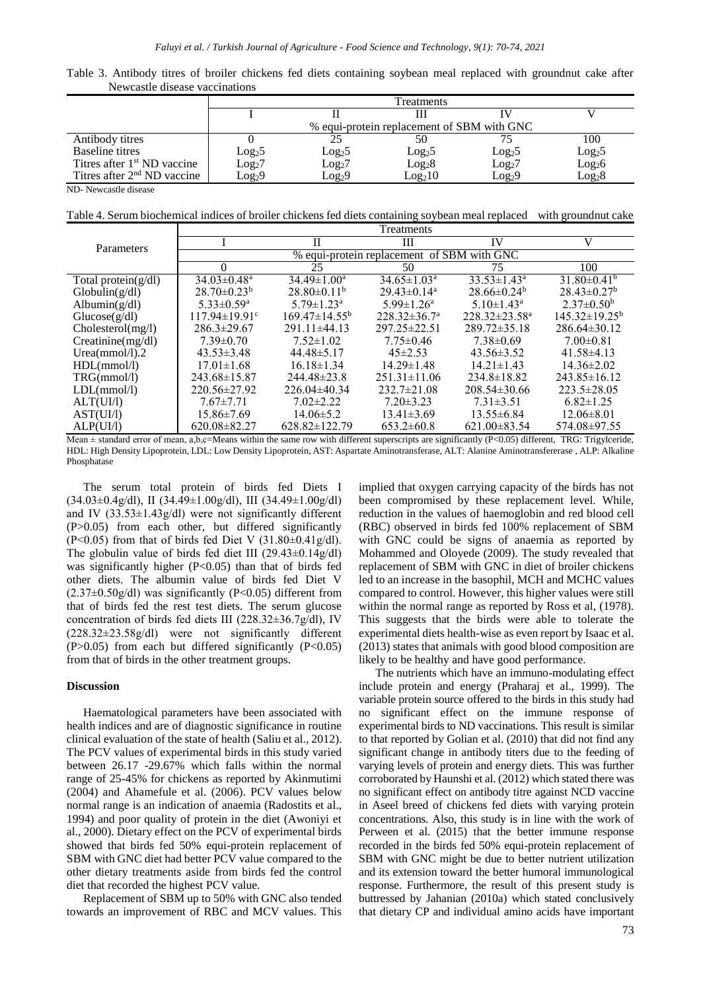| Newcastle disease vaccinations          |                                            |                    |                    |                    |                    |
|-----------------------------------------|--------------------------------------------|--------------------|--------------------|--------------------|--------------------|
|                                         | Treatments                                 |                    |                    |                    |                    |
|                                         |                                            |                    |                    |                    |                    |
|                                         | % equi-protein replacement of SBM with GNC |                    |                    |                    |                    |
| Antibody titres                         |                                            |                    | 50                 |                    | 100                |
| Baseline titres                         | Log <sub>2</sub> 5                         | Log <sub>2</sub> 5 | Log <sub>2</sub> 5 | Log <sub>2</sub> 5 | Log <sub>2</sub> 5 |
| Titres after 1 <sup>st</sup> ND vaccine | $Log_2 7$                                  | Log <sub>2</sub> 7 | $\rm{Log_{2}8}$    | $\rm Log_2 7$      | Log <sub>2</sub> 6 |

Table 3. Antibody titres of broiler chickens fed diets containing soybean meal replaced with groundnut cake after Newcastle disease vaccinations

ND- Newcastle disease

Table 4. Serum biochemical indices of broiler chickens fed diets containing soybean meal replaced with groundnut cake

Titres after 2<sup>nd</sup> ND vaccine Log<sub>2</sub>9 Log<sub>2</sub>9 Log<sub>2</sub>9 Log<sub>2</sub>10 Log<sub>2</sub>9 Log<sub>2</sub>8

|                     |                                            |                              | Treatments                    |                            |                               |  |
|---------------------|--------------------------------------------|------------------------------|-------------------------------|----------------------------|-------------------------------|--|
| Parameters          |                                            | Н                            | Ш                             | IV                         | V                             |  |
|                     | % equi-protein replacement of SBM with GNC |                              |                               |                            |                               |  |
|                     | $\Omega$                                   | 25                           | 50                            | 75                         | 100                           |  |
| Total protein(g/dl) | $34.03 \pm 0.48$ <sup>a</sup>              | $34.49 \pm 1.00^a$           | $34.65 \pm 1.03^{\text{a}}$   | $33.53 \pm 1.43^a$         | $31.80\pm0.41^b$              |  |
| Globalin(g/dl)      | $28.70 \pm 0.23^b$                         | $28.80\pm0.11^{b}$           | $29.43 \pm 0.14$ <sup>a</sup> | $28.66\pm0.24b$            | $28.43 \pm 0.27$ <sup>b</sup> |  |
| Albumin $(g/dl)$    | $5.33 \pm 0.59$ <sup>a</sup>               | $5.79 \pm 1.23$ <sup>a</sup> | $5.99 \pm 1.26$ <sup>a</sup>  | $5.10 \pm 1.43^{\text{a}}$ | $2.37\pm0.50^{\rm b}$         |  |
| Glucose(g/dl)       | $117.94 \pm 19.91$ <sup>c</sup>            | $169.47 \pm 14.55^b$         | $228.32 \pm 36.7^{\circ}$     | $228.32 \pm 23.58^a$       | $145.32\pm19.25^b$            |  |
| Cholesterol(mg/l)   | $286.3 \pm 29.67$                          | $291.11 \pm 44.13$           | $297.25 \pm 22.51$            | $289.72 \pm 35.18$         | $286.64\pm30.12$              |  |
| Creatinine(mg/dl)   | $7.39 \pm 0.70$                            | $7.52 \pm 1.02$              | $7.75 \pm 0.46$               | $7.38\pm0.69$              | $7.00 \pm 0.81$               |  |
| Urea(mmol/l).2      | $43.53 \pm 3.48$                           | $44.48 \pm 5.17$             | $45\pm2.53$                   | $43.56 \pm 3.52$           | $41.58\pm4.13$                |  |
| HDL(mmol/l)         | $17.01 \pm 1.68$                           | $16.18\pm1.34$               | $14.29 \pm 1.48$              | $14.21 \pm 1.43$           | $14.36 \pm 2.02$              |  |
| TRG(mmol/l)         | $243.68 \pm 15.87$                         | $244.48 \pm 23.8$            | $251.31 \pm 11.06$            | $234.8 \pm 18.82$          | $243.85\pm16.12$              |  |
| LDL(mmol/l)         | $220.56 \pm 27.92$                         | $226.04\pm40.34$             | $232.7 \pm 21.08$             | $208.54 \pm 30.66$         | $223.5 \pm 28.05$             |  |
| ALT(UI/I)           | $7.67 \pm 7.71$                            | $7.02 \pm 2.22$              | $7.20 \pm 3.23$               | $7.31 \pm 3.51$            | $6.82 \pm 1.25$               |  |
| AST(UI/I)           | $15.86 \pm 7.69$                           | $14.06 \pm 5.2$              | $13.41\pm3.69$                | $13.55 \pm 6.84$           | $12.06 \pm 8.01$              |  |
| ALP(UI/I)           | $620.08 \pm 82.27$                         | $628.82 \pm 122.79$          | $653.2 \pm 60.8$              | $621.00\pm83.54$           | 574.08±97.55                  |  |

Mean  $\pm$  standard error of mean, a,b,c=Means within the same row with different superscripts are significantly (P<0.05) different, TRG: Trigylceride, HDL: High Density Lipoprotein, LDL: Low Density Lipoprotein, AST: Aspartate Aminotransferase, ALT: Alanine Aminotransfererase , ALP: Alkaline Phosphatase

The serum total protein of birds fed Diets I  $(34.03\pm0.4g/dl)$ , II  $(34.49\pm1.00g/dl)$ , III  $(34.49\pm1.00g/dl)$ and IV  $(33.53\pm1.43g/dl)$  were not significantly different (P>0.05) from each other, but differed significantly (P<0.05) from that of birds fed Diet V  $(31.80\pm0.41g/dl)$ . The globulin value of birds fed diet III (29.43±0.14g/dl) was significantly higher  $(P<0.05)$  than that of birds fed other diets. The albumin value of birds fed Diet V  $(2.37\pm0.50g/dl)$  was significantly (P<0.05) different from that of birds fed the rest test diets. The serum glucose concentration of birds fed diets III (228.32±36.7g/dl), IV (228.32±23.58g/dl) were not significantly different  $(P>0.05)$  from each but differed significantly  $(P<0.05)$ from that of birds in the other treatment groups.

#### **Discussion**

Haematological parameters have been associated with health indices and are of diagnostic significance in routine clinical evaluation of the state of health (Saliu et al., 2012). The PCV values of experimental birds in this study varied between 26.17 -29.67% which falls within the normal range of 25-45% for chickens as reported by Akinmutimi (2004) and Ahamefule et al. (2006). PCV values below normal range is an indication of anaemia (Radostits et al., 1994) and poor quality of protein in the diet (Awoniyi et al., 2000). Dietary effect on the PCV of experimental birds showed that birds fed 50% equi-protein replacement of SBM with GNC diet had better PCV value compared to the other dietary treatments aside from birds fed the control diet that recorded the highest PCV value.

Replacement of SBM up to 50% with GNC also tended towards an improvement of RBC and MCV values. This

implied that oxygen carrying capacity of the birds has not been compromised by these replacement level. While, reduction in the values of haemoglobin and red blood cell (RBC) observed in birds fed 100% replacement of SBM with GNC could be signs of anaemia as reported by Mohammed and Oloyede (2009). The study revealed that replacement of SBM with GNC in diet of broiler chickens led to an increase in the basophil, MCH and MCHC values compared to control. However, this higher values were still within the normal range as reported by Ross et al, (1978). This suggests that the birds were able to tolerate the experimental diets health-wise as even report by Isaac et al. (2013) states that animals with good blood composition are likely to be healthy and have good performance.

The nutrients which have an immuno-modulating effect include protein and energy (Praharaj et al., 1999). The variable protein source offered to the birds in this study had no significant effect on the immune response of experimental birds to ND vaccinations. This result is similar to that reported by Golian et al. (2010) that did not find any significant change in antibody titers due to the feeding of varying levels of protein and energy diets. This was further corroborated by Haunshi et al. (2012) which stated there was no significant effect on antibody titre against NCD vaccine in Aseel breed of chickens fed diets with varying protein concentrations. Also, this study is in line with the work of Perween et al. (2015) that the better immune response recorded in the birds fed 50% equi-protein replacement of SBM with GNC might be due to better nutrient utilization and its extension toward the better humoral immunological response. Furthermore, the result of this present study is buttressed by Jahanian (2010a) which stated conclusively that dietary CP and individual amino acids have important